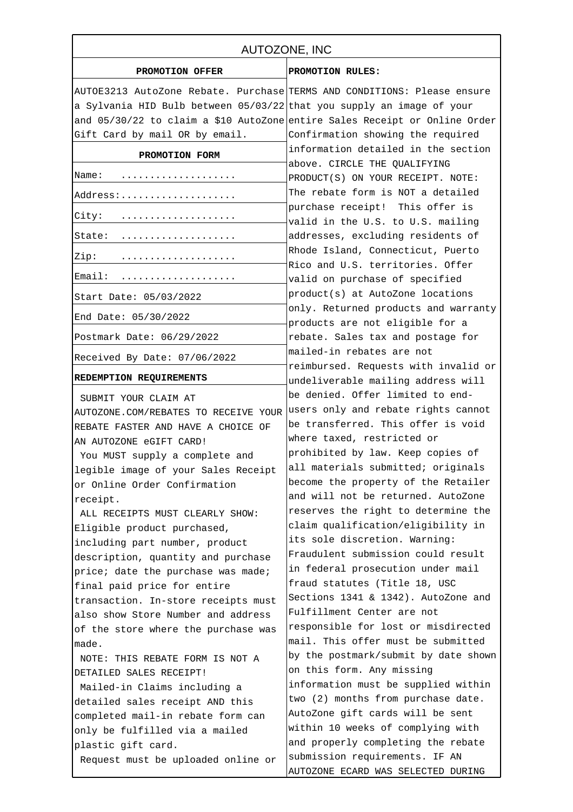| AUTOZONE, INC                                                           |                                                                            |
|-------------------------------------------------------------------------|----------------------------------------------------------------------------|
| PROMOTION OFFER                                                         | PROMOTION RULES:                                                           |
| AUTOE3213 AutoZone Rebate. Purchase TERMS AND CONDITIONS: Please ensure |                                                                            |
| a Sylvania HID Bulb between 05/03/22 that you supply an image of your   |                                                                            |
|                                                                         | and 05/30/22 to claim a \$10 AutoZone entire Sales Receipt or Online Order |
| Gift Card by mail OR by email.                                          | Confirmation showing the required                                          |
| PROMOTION FORM                                                          | information detailed in the section                                        |
| Name:                                                                   | above. CIRCLE THE QUALIFYING<br>PRODUCT(S) ON YOUR RECEIPT. NOTE:          |
| Address:                                                                | The rebate form is NOT a detailed                                          |
| City:                                                                   | purchase receipt! This offer is<br>valid in the U.S. to U.S. mailing       |
| State:                                                                  | addresses, excluding residents of                                          |
| Zip:                                                                    | Rhode Island, Connecticut, Puerto<br>Rico and U.S. territories. Offer      |
| Email:                                                                  | valid on purchase of specified                                             |
| Start Date: 05/03/2022                                                  | product(s) at AutoZone locations                                           |
| End Date: 05/30/2022                                                    | only. Returned products and warranty<br>products are not eligible for a    |
| Postmark Date: 06/29/2022                                               | rebate. Sales tax and postage for                                          |
| Received By Date: 07/06/2022                                            | mailed-in rebates are not                                                  |
| REDEMPTION REQUIREMENTS                                                 | reimbursed. Requests with invalid or<br>undeliverable mailing address will |
| SUBMIT YOUR CLAIM AT                                                    | be denied. Offer limited to end-                                           |
| AUTOZONE.COM/REBATES TO RECEIVE YOUR                                    | users only and rebate rights cannot                                        |
| REBATE FASTER AND HAVE A CHOICE OF                                      | be transferred. This offer is void                                         |
| AN AUTOZONE eGIFT CARD!                                                 | where taxed, restricted or                                                 |
| You MUST supply a complete and                                          | prohibited by law. Keep copies of                                          |
| legible image of your Sales Receipt                                     | all materials submitted; originals                                         |
| or Online Order Confirmation                                            | become the property of the Retailer                                        |
| receipt.                                                                | and will not be returned. AutoZone                                         |
| ALL RECEIPTS MUST CLEARLY SHOW:                                         | reserves the right to determine the                                        |
| Eligible product purchased,                                             | claim qualification/eligibility in                                         |
| including part number, product                                          | its sole discretion. Warning:                                              |
| description, quantity and purchase                                      | Fraudulent submission could result                                         |
| price; date the purchase was made;                                      | in federal prosecution under mail                                          |
| final paid price for entire                                             | fraud statutes (Title 18, USC                                              |
| transaction. In-store receipts must                                     | Sections 1341 & 1342). AutoZone and                                        |
| also show Store Number and address                                      | Fulfillment Center are not                                                 |
| of the store where the purchase was                                     | responsible for lost or misdirected                                        |
| made.                                                                   | mail. This offer must be submitted                                         |
| NOTE: THIS REBATE FORM IS NOT A                                         | by the postmark/submit by date shown                                       |
| DETAILED SALES RECEIPT!                                                 | on this form. Any missing                                                  |
| Mailed-in Claims including a                                            | information must be supplied within                                        |
| detailed sales receipt AND this                                         | two (2) months from purchase date.                                         |
| completed mail-in rebate form can                                       | AutoZone gift cards will be sent                                           |
| only be fulfilled via a mailed                                          | within 10 weeks of complying with                                          |
| plastic gift card.                                                      | and properly completing the rebate                                         |
| Request must be uploaded online or                                      | submission requirements. IF AN                                             |
|                                                                         | AUTOZONE ECARD WAS SELECTED DURING                                         |